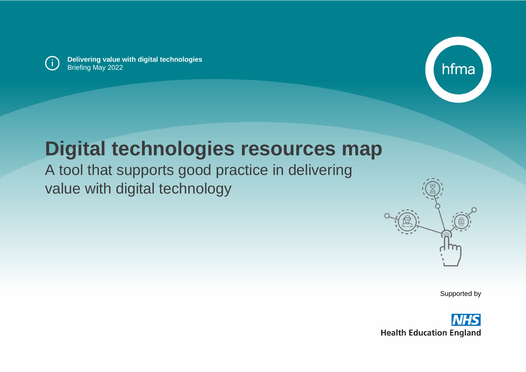

**Delivering value with digital technologies** Briefing May 2022



# **Digital technologies resources map**

A tool that supports good practice in delivering value with digital technology



Supported by

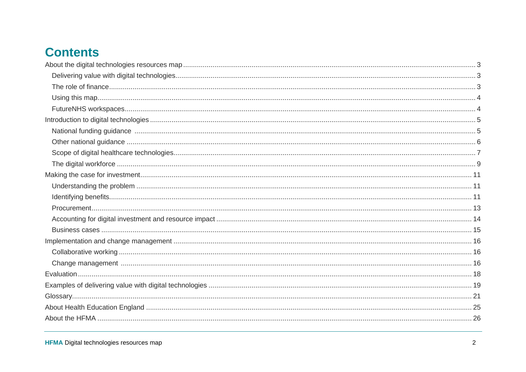### **Contents**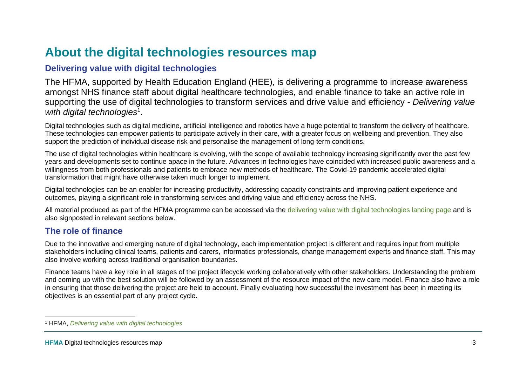### <span id="page-2-0"></span>**About the digital technologies resources map**

### <span id="page-2-1"></span>**Delivering value with digital technologies**

The HFMA, supported by Health Education England (HEE), is delivering a programme to increase awareness amongst NHS finance staff about digital healthcare technologies, and enable finance to take an active role in supporting the use of digital technologies to transform services and drive value and efficiency - *Delivering value*  with digital technologies<sup>1</sup>.

Digital technologies such as digital medicine, artificial intelligence and robotics have a huge potential to transform the delivery of healthcare. These technologies can empower patients to participate actively in their care, with a greater focus on wellbeing and prevention. They also support the prediction of individual disease risk and personalise the management of long-term conditions.

The use of digital technologies within healthcare is evolving, with the scope of available technology increasing significantly over the past few years and developments set to continue apace in the future. Advances in technologies have coincided with increased public awareness and a willingness from both professionals and patients to embrace new methods of healthcare. The Covid-19 pandemic accelerated digital transformation that might have otherwise taken much longer to implement.

Digital technologies can be an enabler for increasing productivity, addressing capacity constraints and improving patient experience and outcomes, playing a significant role in transforming services and driving value and efficiency across the NHS.

All material produced as part of the HFMA programme can be accessed via the [delivering value with digital technologies landing page](https://www.hfma.org.uk/our-work/delivering-value-with-digital-technologies) and is also signposted in relevant sections below.

#### <span id="page-2-2"></span>**The role of finance**

Due to the innovative and emerging nature of digital technology, each implementation project is different and requires input from multiple stakeholders including clinical teams, patients and carers, informatics professionals, change management experts and finance staff. This may also involve working across traditional organisation boundaries.

Finance teams have a key role in all stages of the project lifecycle working collaboratively with other stakeholders. Understanding the problem and coming up with the best solution will be followed by an assessment of the resource impact of the new care model. Finance also have a role in ensuring that those delivering the project are held to account. Finally evaluating how successful the investment has been in meeting its objectives is an essential part of any project cycle.

<sup>1</sup> HFMA, *[Delivering value with digital technologies](https://www.hfma.org.uk/our-work/delivering-value-with-digital-technologies)*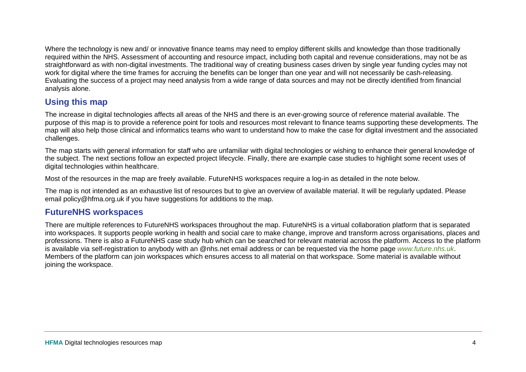Where the technology is new and/ or innovative finance teams may need to employ different skills and knowledge than those traditionally required within the NHS. Assessment of accounting and resource impact, including both capital and revenue considerations, may not be as straightforward as with non-digital investments. The traditional way of creating business cases driven by single year funding cycles may not work for digital where the time frames for accruing the benefits can be longer than one year and will not necessarily be cash-releasing. Evaluating the success of a project may need analysis from a wide range of data sources and may not be directly identified from financial analysis alone.

#### <span id="page-3-0"></span>**Using this map**

The increase in digital technologies affects all areas of the NHS and there is an ever-growing source of reference material available. The purpose of this map is to provide a reference point for tools and resources most relevant to finance teams supporting these developments. The map will also help those clinical and informatics teams who want to understand how to make the case for digital investment and the associated challenges.

The map starts with general information for staff who are unfamiliar with digital technologies or wishing to enhance their general knowledge of the subject. The next sections follow an expected project lifecycle. Finally, there are example case studies to highlight some recent uses of digital technologies within healthcare.

Most of the resources in the map are freely available. FutureNHS workspaces require a log-in as detailed in the note below.

The map is not intended as an exhaustive list of resources but to give an overview of available material. It will be regularly updated. Please email policy@hfma.org.uk if you have suggestions for additions to the map.

#### <span id="page-3-1"></span>**FutureNHS workspaces**

There are multiple references to FutureNHS workspaces throughout the map. FutureNHS is a virtual collaboration platform that is separated into workspaces. It supports people working in health and social care to make change, improve and transform across organisations, places and professions. There is also a FutureNHS case study hub which can be searched for relevant material across the platform. Access to the platform is available via self-registration to anybody with an @nhs.net email address or can be requested via the home page *[www.future.nhs.uk](http://www.future.nhs.uk/)*. Members of the platform can join workspaces which ensures access to all material on that workspace. Some material is available without joining the workspace.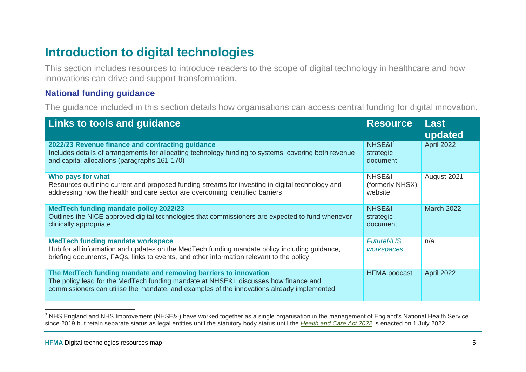### <span id="page-4-0"></span>**Introduction to digital technologies**

This section includes resources to introduce readers to the scope of digital technology in healthcare and how innovations can drive and support transformation.

#### <span id="page-4-1"></span>**National funding guidance**

The guidance included in this section details how organisations can access central funding for digital innovation.

| Links to tools and guidance                                                                                                                                                                                                                           | <b>Resource</b>                              | <b>Last</b><br>updated |
|-------------------------------------------------------------------------------------------------------------------------------------------------------------------------------------------------------------------------------------------------------|----------------------------------------------|------------------------|
| 2022/23 Revenue finance and contracting guidance<br>Includes details of arrangements for allocating technology funding to systems, covering both revenue<br>and capital allocations (paragraphs 161-170)                                              | NHSE& <sup>12</sup><br>strategic<br>document | April 2022             |
| Who pays for what<br>Resources outlining current and proposed funding streams for investing in digital technology and<br>addressing how the health and care sector are overcoming identified barriers                                                 | NHSE&I<br>(formerly NHSX)<br>website         | August 2021            |
| <b>MedTech funding mandate policy 2022/23</b><br>Outlines the NICE approved digital technologies that commissioners are expected to fund whenever<br>clinically appropriate                                                                           | <b>NHSE&amp;I</b><br>strategic<br>document   | <b>March 2022</b>      |
| <b>MedTech funding mandate workspace</b><br>Hub for all information and updates on the MedTech funding mandate policy including guidance,<br>briefing documents, FAQs, links to events, and other information relevant to the policy                  | <b>FutureNHS</b><br>workspaces               | n/a                    |
| The MedTech funding mandate and removing barriers to innovation<br>The policy lead for the MedTech funding mandate at NHSE&I, discusses how finance and<br>commissioners can utilise the mandate, and examples of the innovations already implemented | <b>HFMA</b> podcast                          | April 2022             |

<sup>2</sup> NHS England and NHS Improvement (NHSE&I) have worked together as a single organisation in the management of England's National Health Service since 2019 but retain separate status as legal entities until the statutory body status until the *[Health and Care Act 2022](https://bills.parliament.uk/bills/3022)* is enacted on 1 July 2022.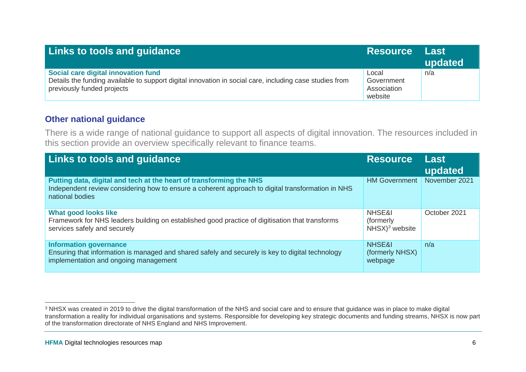| <b>Links to tools and guidance</b>                                                                                                                                           | <b>Resource Last</b>                          | updated |
|------------------------------------------------------------------------------------------------------------------------------------------------------------------------------|-----------------------------------------------|---------|
| Social care digital innovation fund<br>Details the funding available to support digital innovation in social care, including case studies from<br>previously funded projects | Local<br>Government<br>Association<br>website | n/a     |

#### <span id="page-5-0"></span>**Other national guidance**

There is a wide range of national guidance to support all aspects of digital innovation. The resources included in this section provide an overview specifically relevant to finance teams.

| <b>Links to tools and guidance</b>                                                                                                                                                          | <b>Resource</b>                                 | <b>Last</b><br>updated |
|---------------------------------------------------------------------------------------------------------------------------------------------------------------------------------------------|-------------------------------------------------|------------------------|
| Putting data, digital and tech at the heart of transforming the NHS<br>Independent review considering how to ensure a coherent approach to digital transformation in NHS<br>national bodies | <b>HM Government</b>                            | November 2021          |
| <b>What good looks like</b><br>Framework for NHS leaders building on established good practice of digitisation that transforms<br>services safely and securely                              | NHSE&I<br>(formerly)<br>$NHSX)3$ website        | October 2021           |
| <b>Information governance</b><br>Ensuring that information is managed and shared safely and securely is key to digital technology<br>implementation and ongoing management                  | <b>NHSE&amp;I</b><br>(formerly NHSX)<br>webpage | n/a                    |

<sup>&</sup>lt;sup>3</sup> NHSX was created in 2019 to drive the digital transformation of the NHS and social care and to ensure that guidance was in place to make digital transformation a reality for individual organisations and systems. Responsible for developing key strategic documents and funding streams, NHSX is now part of the transformation directorate of NHS England and NHS Improvement.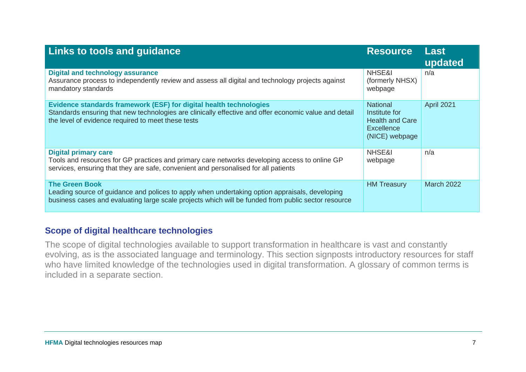| <b>Links to tools and guidance</b>                                                                                                                                                                                                | <b>Resource</b>                                                                                   | Last<br>updated   |
|-----------------------------------------------------------------------------------------------------------------------------------------------------------------------------------------------------------------------------------|---------------------------------------------------------------------------------------------------|-------------------|
| <b>Digital and technology assurance</b><br>Assurance process to independently review and assess all digital and technology projects against<br>mandatory standards                                                                | NHSE&I<br>(formerly NHSX)<br>webpage                                                              | n/a               |
| Evidence standards framework (ESF) for digital health technologies<br>Standards ensuring that new technologies are clinically effective and offer economic value and detail<br>the level of evidence required to meet these tests | <b>National</b><br>Institute for<br><b>Health and Care</b><br><b>Excellence</b><br>(NICE) webpage | April 2021        |
| <b>Digital primary care</b><br>Tools and resources for GP practices and primary care networks developing access to online GP<br>services, ensuring that they are safe, convenient and personalised for all patients               | NHSE&I<br>webpage                                                                                 | n/a               |
| <b>The Green Book</b><br>Leading source of guidance and polices to apply when undertaking option appraisals, developing<br>business cases and evaluating large scale projects which will be funded from public sector resource    | <b>HM Treasury</b>                                                                                | <b>March 2022</b> |

#### <span id="page-6-0"></span>**Scope of digital healthcare technologies**

The scope of digital technologies available to support transformation in healthcare is vast and constantly evolving, as is the associated language and terminology. This section signposts introductory resources for staff who have limited knowledge of the technologies used in digital transformation. A glossary of common terms is included in a separate section.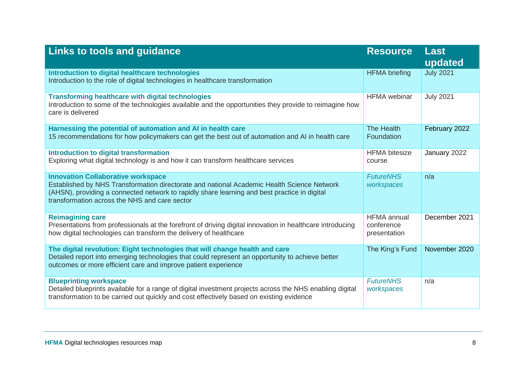| <b>Links to tools and guidance</b>                                                                                                                                                                                                                                                       | <b>Resource</b>                                  | <b>Last</b><br>updated |
|------------------------------------------------------------------------------------------------------------------------------------------------------------------------------------------------------------------------------------------------------------------------------------------|--------------------------------------------------|------------------------|
| Introduction to digital healthcare technologies<br>Introduction to the role of digital technologies in healthcare transformation                                                                                                                                                         | <b>HFMA</b> briefing                             | <b>July 2021</b>       |
| <b>Transforming healthcare with digital technologies</b><br>Introduction to some of the technologies available and the opportunities they provide to reimagine how<br>care is delivered                                                                                                  | <b>HFMA</b> webinar                              | <b>July 2021</b>       |
| Harnessing the potential of automation and AI in health care<br>15 recommendations for how policymakers can get the best out of automation and AI in health care                                                                                                                         | The Health<br>Foundation                         | February 2022          |
| <b>Introduction to digital transformation</b><br>Exploring what digital technology is and how it can transform healthcare services                                                                                                                                                       | <b>HFMA</b> bitesize<br>course                   | January 2022           |
| <b>Innovation Collaborative workspace</b><br>Established by NHS Transformation directorate and national Academic Health Science Network<br>(AHSN), providing a connected network to rapidly share learning and best practice in digital<br>transformation across the NHS and care sector | <b>FutureNHS</b><br>workspaces                   | n/a                    |
| <b>Reimagining care</b><br>Presentations from professionals at the forefront of driving digital innovation in healthcare introducing<br>how digital technologies can transform the delivery of healthcare                                                                                | <b>HFMA</b> annual<br>conference<br>presentation | December 2021          |
| The digital revolution: Eight technologies that will change health and care<br>Detailed report into emerging technologies that could represent an opportunity to achieve better<br>outcomes or more efficient care and improve patient experience                                        | The King's Fund                                  | November 2020          |
| <b>Blueprinting workspace</b><br>Detailed blueprints available for a range of digital investment projects across the NHS enabling digital<br>transformation to be carried out quickly and cost effectively based on existing evidence                                                    | <b>FutureNHS</b><br>workspaces                   | n/a                    |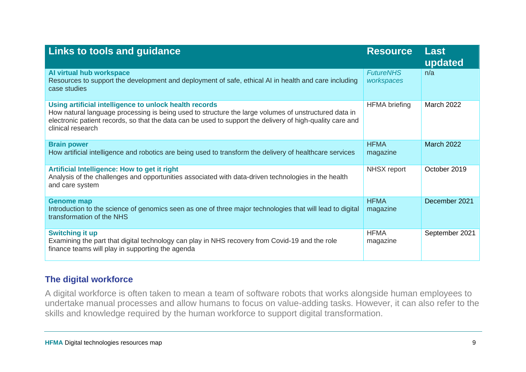| Links to tools and guidance                                                                                                                                                                                                                                                                      | <b>Resource</b>                | Last<br>updated   |
|--------------------------------------------------------------------------------------------------------------------------------------------------------------------------------------------------------------------------------------------------------------------------------------------------|--------------------------------|-------------------|
| Al virtual hub workspace<br>Resources to support the development and deployment of safe, ethical AI in health and care including<br>case studies                                                                                                                                                 | <b>FutureNHS</b><br>workspaces | n/a               |
| Using artificial intelligence to unlock health records<br>How natural language processing is being used to structure the large volumes of unstructured data in<br>electronic patient records, so that the data can be used to support the delivery of high-quality care and<br>clinical research | <b>HFMA</b> briefing           | <b>March 2022</b> |
| <b>Brain power</b><br>How artificial intelligence and robotics are being used to transform the delivery of healthcare services                                                                                                                                                                   | <b>HFMA</b><br>magazine        | <b>March 2022</b> |
| Artificial Intelligence: How to get it right<br>Analysis of the challenges and opportunities associated with data-driven technologies in the health<br>and care system                                                                                                                           | NHSX report                    | October 2019      |
| <b>Genome map</b><br>Introduction to the science of genomics seen as one of three major technologies that will lead to digital<br>transformation of the NHS                                                                                                                                      | <b>HFMA</b><br>magazine        | December 2021     |
| <b>Switching it up</b><br>Examining the part that digital technology can play in NHS recovery from Covid-19 and the role<br>finance teams will play in supporting the agenda                                                                                                                     | <b>HFMA</b><br>magazine        | September 2021    |

#### <span id="page-8-0"></span>**The digital workforce**

A digital workforce is often taken to mean a team of software robots that works alongside human employees to undertake manual processes and allow humans to focus on value-adding tasks. However, it can also refer to the skills and knowledge required by the human workforce to support digital transformation.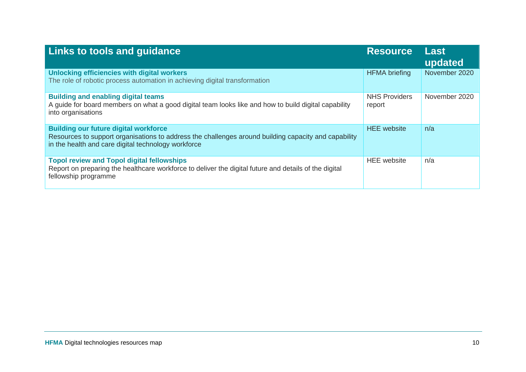| Links to tools and guidance                                                                                                                                                                                 | <b>Resource</b>                | Last<br>updated |
|-------------------------------------------------------------------------------------------------------------------------------------------------------------------------------------------------------------|--------------------------------|-----------------|
| Unlocking efficiencies with digital workers<br>The role of robotic process automation in achieving digital transformation                                                                                   | <b>HFMA</b> briefing           | November 2020   |
| <b>Building and enabling digital teams</b><br>A guide for board members on what a good digital team looks like and how to build digital capability<br>into organisations                                    | <b>NHS Providers</b><br>report | November 2020   |
| <b>Building our future digital workforce</b><br>Resources to support organisations to address the challenges around building capacity and capability<br>in the health and care digital technology workforce | <b>HEE</b> website             | n/a             |
| <b>Topol review and Topol digital fellowships</b><br>Report on preparing the healthcare workforce to deliver the digital future and details of the digital<br>fellowship programme                          | <b>HEE</b> website             | n/a             |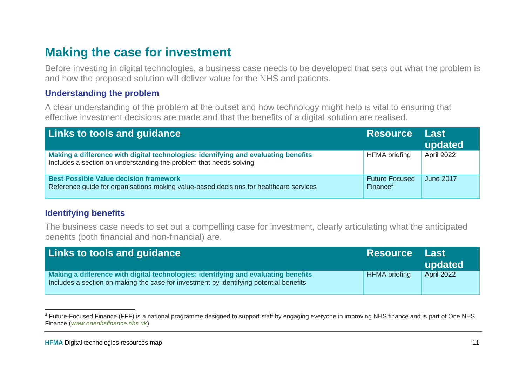### <span id="page-10-0"></span>**Making the case for investment**

Before investing in digital technologies, a business case needs to be developed that sets out what the problem is and how the proposed solution will deliver value for the NHS and patients.

#### <span id="page-10-1"></span>**Understanding the problem**

A clear understanding of the problem at the outset and how technology might help is vital to ensuring that effective investment decisions are made and that the benefits of a digital solution are realised.

| <b>Links to tools and guidance</b>                                                                                                                       | Resource Last                                 | updated          |
|----------------------------------------------------------------------------------------------------------------------------------------------------------|-----------------------------------------------|------------------|
| Making a difference with digital technologies: identifying and evaluating benefits<br>Includes a section on understanding the problem that needs solving | <b>HFMA</b> briefing                          | April 2022       |
| <b>Best Possible Value decision framework</b><br>Reference quide for organisations making value-based decisions for healthcare services                  | <b>Future Focused</b><br>Finance <sup>4</sup> | <b>June 2017</b> |

#### <span id="page-10-2"></span>**Identifying benefits**

The business case needs to set out a compelling case for investment, clearly articulating what the anticipated benefits (both financial and non-financial) are.

| <b>Links to tools and guidance</b>                                                                                                                                           | <b>Resource</b>      | <b>Last</b><br>updated |
|------------------------------------------------------------------------------------------------------------------------------------------------------------------------------|----------------------|------------------------|
| Making a difference with digital technologies: identifying and evaluating benefits<br>Includes a section on making the case for investment by identifying potential benefits | <b>HFMA</b> briefing | <b>April 2022</b>      |

<sup>&</sup>lt;sup>4</sup> Future-Focused Finance (FFF) is a national programme designed to support staff by engaging everyone in improving NHS finance and is part of One NHS Finance (*[www.onenhsfinance.nhs.uk](http://www.onenhsfinance.nhs.uk/)*).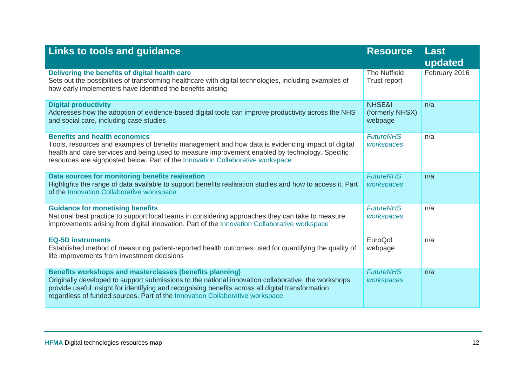| <b>Links to tools and guidance</b>                                                                                                                                                                                                                                                                                                                   | <b>Resource</b>                                 | <b>Last</b><br>updated |
|------------------------------------------------------------------------------------------------------------------------------------------------------------------------------------------------------------------------------------------------------------------------------------------------------------------------------------------------------|-------------------------------------------------|------------------------|
| Delivering the benefits of digital health care<br>Sets out the possibilities of transforming healthcare with digital technologies, including examples of<br>how early implementers have identified the benefits arising                                                                                                                              | <b>The Nuffield</b><br>Trust report             | February 2016          |
| <b>Digital productivity</b><br>Addresses how the adoption of evidence-based digital tools can improve productivity across the NHS<br>and social care, including case studies                                                                                                                                                                         | <b>NHSE&amp;I</b><br>(formerly NHSX)<br>webpage | n/a                    |
| <b>Benefits and health economics</b><br>Tools, resources and examples of benefits management and how data is evidencing impact of digital<br>health and care services and being used to measure improvement enabled by technology. Specific<br>resources are signposted below. Part of the Innovation Collaborative workspace                        | <b>FutureNHS</b><br>workspaces                  | n/a                    |
| Data sources for monitoring benefits realisation<br>Highlights the range of data available to support benefits realisation studies and how to access it. Part<br>of the Innovation Collaborative workspace                                                                                                                                           | <b>FutureNHS</b><br>workspaces                  | n/a                    |
| <b>Guidance for monetising benefits</b><br>National best practice to support local teams in considering approaches they can take to measure<br>improvements arising from digital innovation. Part of the Innovation Collaborative workspace                                                                                                          | <b>FutureNHS</b><br>workspaces                  | n/a                    |
| <b>EQ-5D instruments</b><br>Established method of measuring patient-reported health outcomes used for quantifying the quality of<br>life improvements from investment decisions                                                                                                                                                                      | EuroQol<br>webpage                              | n/a                    |
| Benefits workshops and masterclasses (benefits planning)<br>Originally developed to support submissions to the national innovation collaborative, the workshops<br>provide useful insight for identifying and recognising benefits across all digital transformation<br>regardless of funded sources. Part of the Innovation Collaborative workspace | <b>FutureNHS</b><br>workspaces                  | n/a                    |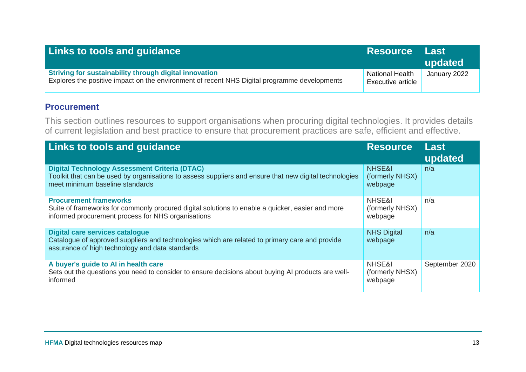| <b>Links to tools and guidance</b>                                                                                                                     | <b>Resource</b>                                    | ⊟ Last<br>updated |
|--------------------------------------------------------------------------------------------------------------------------------------------------------|----------------------------------------------------|-------------------|
| Striving for sustainability through digital innovation<br>Explores the positive impact on the environment of recent NHS Digital programme developments | <b>National Health</b><br><b>Executive article</b> | January 2022      |

#### <span id="page-12-0"></span>**Procurement**

This section outlines resources to support organisations when procuring digital technologies. It provides details of current legislation and best practice to ensure that procurement practices are safe, efficient and effective.

| <b>Links to tools and guidance</b>                                                                                                                                                                | <b>Resource</b>                      | Last<br>updated |
|---------------------------------------------------------------------------------------------------------------------------------------------------------------------------------------------------|--------------------------------------|-----------------|
| <b>Digital Technology Assessment Criteria (DTAC)</b><br>Toolkit that can be used by organisations to assess suppliers and ensure that new digital technologies<br>meet minimum baseline standards | NHSE&I<br>(formerly NHSX)<br>webpage | n/a             |
| <b>Procurement frameworks</b><br>Suite of frameworks for commonly procured digital solutions to enable a quicker, easier and more<br>informed procurement process for NHS organisations           | NHSE&I<br>(formerly NHSX)<br>webpage | n/a             |
| <b>Digital care services catalogue</b><br>Catalogue of approved suppliers and technologies which are related to primary care and provide<br>assurance of high technology and data standards       | <b>NHS Digital</b><br>webpage        | n/a             |
| A buyer's guide to AI in health care<br>Sets out the questions you need to consider to ensure decisions about buying AI products are well-<br>informed                                            | NHSE&I<br>(formerly NHSX)<br>webpage | September 2020  |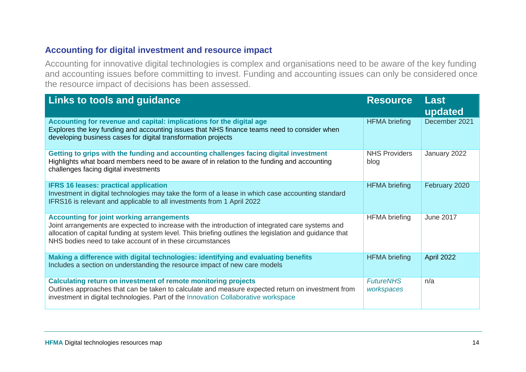#### <span id="page-13-0"></span>**Accounting for digital investment and resource impact**

Accounting for innovative digital technologies is complex and organisations need to be aware of the key funding and accounting issues before committing to invest. Funding and accounting issues can only be considered once the resource impact of decisions has been assessed.

| <b>Links to tools and guidance</b>                                                                                                                                                                                                                                                                                            | <b>Resource</b>                | Last<br>updated  |
|-------------------------------------------------------------------------------------------------------------------------------------------------------------------------------------------------------------------------------------------------------------------------------------------------------------------------------|--------------------------------|------------------|
| Accounting for revenue and capital: implications for the digital age<br>Explores the key funding and accounting issues that NHS finance teams need to consider when<br>developing business cases for digital transformation projects                                                                                          | <b>HFMA</b> briefing           | December 2021    |
| Getting to grips with the funding and accounting challenges facing digital investment<br>Highlights what board members need to be aware of in relation to the funding and accounting<br>challenges facing digital investments                                                                                                 | <b>NHS Providers</b><br>blog   | January 2022     |
| <b>IFRS 16 leases: practical application</b><br>Investment in digital technologies may take the form of a lease in which case accounting standard<br>IFRS16 is relevant and applicable to all investments from 1 April 2022                                                                                                   | <b>HFMA</b> briefing           | February 2020    |
| <b>Accounting for joint working arrangements</b><br>Joint arrangements are expected to increase with the introduction of integrated care systems and<br>allocation of capital funding at system level. Thiis briefing outlines the legislation and guidance that<br>NHS bodies need to take account of in these circumstances | <b>HFMA</b> briefing           | <b>June 2017</b> |
| Making a difference with digital technologies: identifying and evaluating benefits<br>Includes a section on understanding the resource impact of new care models                                                                                                                                                              | <b>HFMA</b> briefing           | April 2022       |
| <b>Calculating return on investment of remote monitoring projects</b><br>Outlines approaches that can be taken to calculate and measure expected return on investment from<br>investment in digital technologies. Part of the Innovation Collaborative workspace                                                              | <b>FutureNHS</b><br>workspaces | n/a              |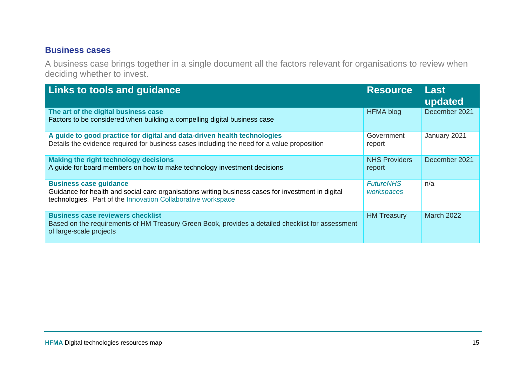#### <span id="page-14-0"></span>**Business cases**

A business case brings together in a single document all the factors relevant for organisations to review when deciding whether to invest.

| <b>Links to tools and guidance</b>                                                                                                                                                                  | <b>Resource</b>                | <b>Last</b><br>updated |
|-----------------------------------------------------------------------------------------------------------------------------------------------------------------------------------------------------|--------------------------------|------------------------|
| The art of the digital business case<br>Factors to be considered when building a compelling digital business case                                                                                   | <b>HFMA blog</b>               | December 2021          |
| A guide to good practice for digital and data-driven health technologies<br>Details the evidence required for business cases including the need for a value proposition                             | Government<br>report           | January 2021           |
| <b>Making the right technology decisions</b><br>A guide for board members on how to make technology investment decisions                                                                            | <b>NHS Providers</b><br>report | December 2021          |
| <b>Business case guidance</b><br>Guidance for health and social care organisations writing business cases for investment in digital<br>technologies. Part of the Innovation Collaborative workspace | <b>FutureNHS</b><br>workspaces | n/a                    |
| <b>Business case reviewers checklist</b><br>Based on the requirements of HM Treasury Green Book, provides a detailed checklist for assessment<br>of large-scale projects                            | <b>HM Treasury</b>             | <b>March 2022</b>      |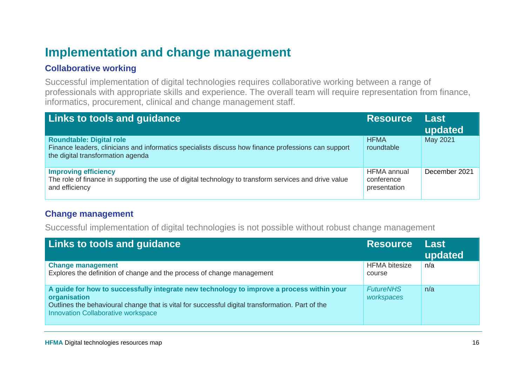### <span id="page-15-0"></span>**Implementation and change management**

#### <span id="page-15-1"></span>**Collaborative working**

Successful implementation of digital technologies requires collaborative working between a range of professionals with appropriate skills and experience. The overall team will require representation from finance, informatics, procurement, clinical and change management staff.

| <b>Links to tools and guidance</b>                                                                                                                                          | <b>Resource</b>                                  | <b>Last</b><br>updated |
|-----------------------------------------------------------------------------------------------------------------------------------------------------------------------------|--------------------------------------------------|------------------------|
| <b>Roundtable: Digital role</b><br>Finance leaders, clinicians and informatics specialists discuss how finance professions can support<br>the digital transformation agenda | <b>HFMA</b><br>roundtable                        | May 2021               |
| <b>Improving efficiency</b><br>The role of finance in supporting the use of digital technology to transform services and drive value<br>and efficiency                      | <b>HFMA</b> annual<br>conference<br>presentation | December 2021          |

#### <span id="page-15-2"></span>**Change management**

Successful implementation of digital technologies is not possible without robust change management

| <b>Links to tools and guidance</b>                                                                                                                                                                                                                         | <b>Resource</b>                | <b>Last</b><br>updated |
|------------------------------------------------------------------------------------------------------------------------------------------------------------------------------------------------------------------------------------------------------------|--------------------------------|------------------------|
| <b>Change management</b><br>Explores the definition of change and the process of change management                                                                                                                                                         | <b>HFMA</b> bitesize<br>course | n/a                    |
| A guide for how to successfully integrate new technology to improve a process within your<br>organisation<br>Outlines the behavioural change that is vital for successful digital transformation. Part of the<br><b>Innovation Collaborative workspace</b> | <b>FutureNHS</b><br>workspaces | n/a                    |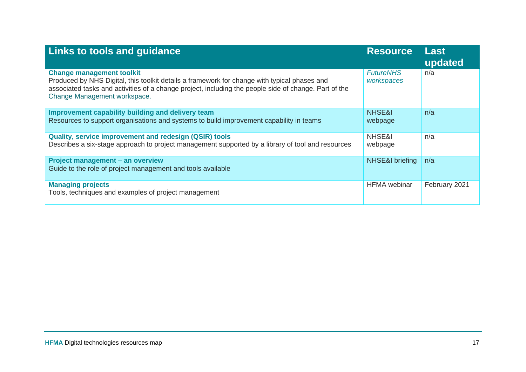| <b>Links to tools and guidance</b>                                                                                                                                                                                                                                        | <b>Resource</b>                | <b>Last</b><br>updated |
|---------------------------------------------------------------------------------------------------------------------------------------------------------------------------------------------------------------------------------------------------------------------------|--------------------------------|------------------------|
| <b>Change management toolkit</b><br>Produced by NHS Digital, this toolkit details a framework for change with typical phases and<br>associated tasks and activities of a change project, including the people side of change. Part of the<br>Change Management workspace. | <b>FutureNHS</b><br>workspaces | n/a                    |
| Improvement capability building and delivery team<br>Resources to support organisations and systems to build improvement capability in teams                                                                                                                              | NHSE&I<br>webpage              | n/a                    |
| Quality, service improvement and redesign (QSIR) tools<br>Describes a six-stage approach to project management supported by a library of tool and resources                                                                                                               | NHSE&I<br>webpage              | n/a                    |
| Project management - an overview<br>Guide to the role of project management and tools available                                                                                                                                                                           | NHSE&I briefing                | n/a                    |
| <b>Managing projects</b><br>Tools, techniques and examples of project management                                                                                                                                                                                          | <b>HFMA</b> webinar            | February 2021          |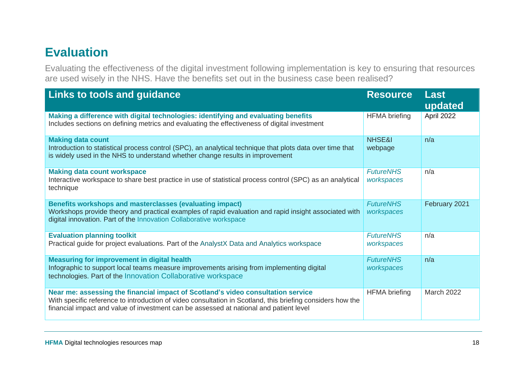### <span id="page-17-0"></span>**Evaluation**

Evaluating the effectiveness of the digital investment following implementation is key to ensuring that resources are used wisely in the NHS. Have the benefits set out in the business case been realised?

| <b>Links to tools and guidance</b>                                                                                                                                                                                                                                                       | <b>Resource</b>                | <b>Last</b><br>updated |
|------------------------------------------------------------------------------------------------------------------------------------------------------------------------------------------------------------------------------------------------------------------------------------------|--------------------------------|------------------------|
| Making a difference with digital technologies: identifying and evaluating benefits<br>Includes sections on defining metrics and evaluating the effectiveness of digital investment                                                                                                       | <b>HFMA</b> briefing           | April 2022             |
| <b>Making data count</b><br>Introduction to statistical process control (SPC), an analytical technique that plots data over time that<br>is widely used in the NHS to understand whether change results in improvement                                                                   | <b>NHSE&amp;I</b><br>webpage   | n/a                    |
| <b>Making data count workspace</b><br>Interactive workspace to share best practice in use of statistical process control (SPC) as an analytical<br>technique                                                                                                                             | <b>FutureNHS</b><br>workspaces | n/a                    |
| Benefits workshops and masterclasses (evaluating impact)<br>Workshops provide theory and practical examples of rapid evaluation and rapid insight associated with<br>digital innovation. Part of the Innovation Collaborative workspace                                                  | <b>FutureNHS</b><br>workspaces | February 2021          |
| <b>Evaluation planning toolkit</b><br>Practical guide for project evaluations. Part of the AnalystX Data and Analytics workspace                                                                                                                                                         | <b>FutureNHS</b><br>workspaces | n/a                    |
| <b>Measuring for improvement in digital health</b><br>Infographic to support local teams measure improvements arising from implementing digital<br>technologies. Part of the Innovation Collaborative workspace                                                                          | <b>FutureNHS</b><br>workspaces | n/a                    |
| Near me: assessing the financial impact of Scotland's video consultation service<br>With specific reference to introduction of video consultation in Scotland, this briefing considers how the<br>financial impact and value of investment can be assessed at national and patient level | <b>HFMA</b> briefing           | <b>March 2022</b>      |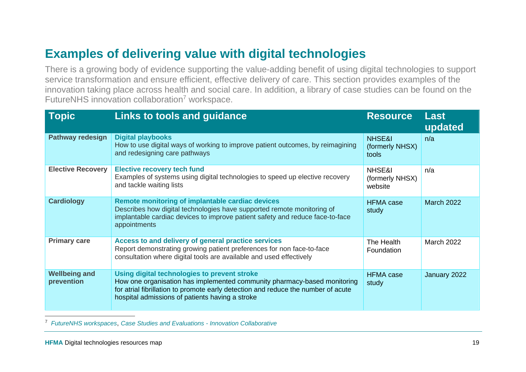## <span id="page-18-0"></span>**Examples of delivering value with digital technologies**

There is a growing body of evidence supporting the value-adding benefit of using digital technologies to support service transformation and ensure efficient, effective delivery of care. This section provides examples of the innovation taking place across health and social care. In addition, a library of case studies can be found on the FutureNHS innovation collaboration<sup>7</sup> workspace.

| <b>Topic</b>                       | Links to tools and guidance                                                                                                                                                                                                                                      | <b>Resource</b>                      | <b>Last</b><br>updated |
|------------------------------------|------------------------------------------------------------------------------------------------------------------------------------------------------------------------------------------------------------------------------------------------------------------|--------------------------------------|------------------------|
| <b>Pathway redesign</b>            | <b>Digital playbooks</b><br>How to use digital ways of working to improve patient outcomes, by reimagining<br>and redesigning care pathways                                                                                                                      | NHSE&I<br>(formerly NHSX)<br>tools   | n/a                    |
| <b>Elective Recovery</b>           | <b>Elective recovery tech fund</b><br>Examples of systems using digital technologies to speed up elective recovery<br>and tackle waiting lists                                                                                                                   | NHSE&I<br>(formerly NHSX)<br>website | n/a                    |
| <b>Cardiology</b>                  | Remote monitoring of implantable cardiac devices<br>Describes how digital technologies have supported remote monitoring of<br>implantable cardiac devices to improve patient safety and reduce face-to-face<br>appointments                                      | <b>HFMA</b> case<br>study            | <b>March 2022</b>      |
| <b>Primary care</b>                | Access to and delivery of general practice services<br>Report demonstrating growing patient preferences for non face-to-face<br>consultation where digital tools are available and used effectively                                                              | The Health<br>Foundation             | <b>March 2022</b>      |
| <b>Wellbeing and</b><br>prevention | Using digital technologies to prevent stroke<br>How one organisation has implemented community pharmacy-based monitoring<br>for atrial fibrillation to promote early detection and reduce the number of acute<br>hospital admissions of patients having a stroke | <b>HFMA</b> case<br>study            | January 2022           |

<sup>7</sup> *[FutureNHS workspaces](#page-3-1)*, *[Case Studies and Evaluations -](https://future.nhs.uk/InnovationCollaborative/view?objectId=26852592#26852592) Innovation Collaborative*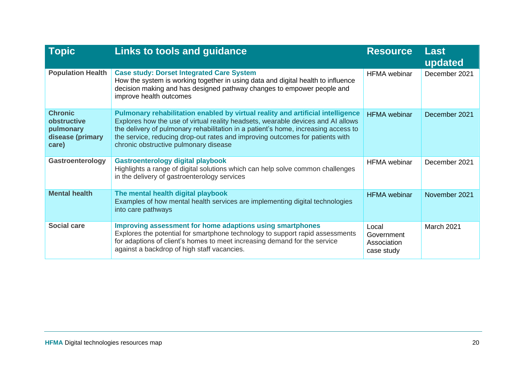| <b>Topic</b>                                                            | <b>Links to tools and guidance</b>                                                                                                                                                                                                                                                                                                                                                  | <b>Resource</b>                                  | <b>Last</b><br>updated |
|-------------------------------------------------------------------------|-------------------------------------------------------------------------------------------------------------------------------------------------------------------------------------------------------------------------------------------------------------------------------------------------------------------------------------------------------------------------------------|--------------------------------------------------|------------------------|
| <b>Population Health</b>                                                | <b>Case study: Dorset Integrated Care System</b><br>How the system is working together in using data and digital health to influence<br>decision making and has designed pathway changes to empower people and<br>improve health outcomes                                                                                                                                           |                                                  | December 2021          |
| <b>Chronic</b><br>obstructive<br>pulmonary<br>disease (primary<br>care) | Pulmonary rehabilitation enabled by virtual reality and artificial intelligence<br>Explores how the use of virtual reality headsets, wearable devices and AI allows<br>the delivery of pulmonary rehabilitation in a patient's home, increasing access to<br>the service, reducing drop-out rates and improving outcomes for patients with<br>chronic obstructive pulmonary disease | <b>HFMA</b> webinar                              | December 2021          |
| Gastroenterology                                                        | <b>Gastroenterology digital playbook</b><br>Highlights a range of digital solutions which can help solve common challenges<br>in the delivery of gastroenterology services                                                                                                                                                                                                          | <b>HFMA</b> webinar                              | December 2021          |
| <b>Mental health</b>                                                    | The mental health digital playbook<br>Examples of how mental health services are implementing digital technologies<br>into care pathways                                                                                                                                                                                                                                            | <b>HFMA</b> webinar                              | November 2021          |
| <b>Social care</b>                                                      | <b>Improving assessment for home adaptions using smartphones</b><br>Explores the potential for smartphone technology to support rapid assessments<br>for adaptions of client's homes to meet increasing demand for the service<br>against a backdrop of high staff vacancies.                                                                                                       | Local<br>Government<br>Association<br>case study | March 2021             |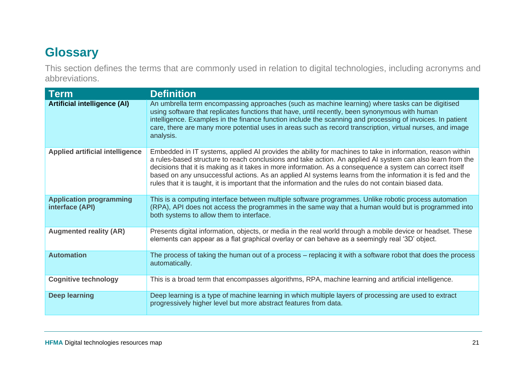### <span id="page-20-0"></span>**Glossary**

This section defines the terms that are commonly used in relation to digital technologies, including acronyms and abbreviations.

| Term                                              | <b>Definition</b>                                                                                                                                                                                                                                                                                                                                                                                                                                                                                                                                             |
|---------------------------------------------------|---------------------------------------------------------------------------------------------------------------------------------------------------------------------------------------------------------------------------------------------------------------------------------------------------------------------------------------------------------------------------------------------------------------------------------------------------------------------------------------------------------------------------------------------------------------|
| <b>Artificial intelligence (AI)</b>               | An umbrella term encompassing approaches (such as machine learning) where tasks can be digitised<br>using software that replicates functions that have, until recently, been synonymous with human<br>intelligence. Examples in the finance function include the scanning and processing of invoices. In patient<br>care, there are many more potential uses in areas such as record transcription, virtual nurses, and image<br>analysis.                                                                                                                    |
| <b>Applied artificial intelligence</b>            | Embedded in IT systems, applied AI provides the ability for machines to take in information, reason within<br>a rules-based structure to reach conclusions and take action. An applied AI system can also learn from the<br>decisions that it is making as it takes in more information. As a consequence a system can correct itself<br>based on any unsuccessful actions. As an applied AI systems learns from the information it is fed and the<br>rules that it is taught, it is important that the information and the rules do not contain biased data. |
| <b>Application programming</b><br>interface (API) | This is a computing interface between multiple software programmes. Unlike robotic process automation<br>(RPA), API does not access the programmes in the same way that a human would but is programmed into<br>both systems to allow them to interface.                                                                                                                                                                                                                                                                                                      |
| <b>Augmented reality (AR)</b>                     | Presents digital information, objects, or media in the real world through a mobile device or headset. These<br>elements can appear as a flat graphical overlay or can behave as a seemingly real '3D' object.                                                                                                                                                                                                                                                                                                                                                 |
| <b>Automation</b>                                 | The process of taking the human out of a process – replacing it with a software robot that does the process<br>automatically.                                                                                                                                                                                                                                                                                                                                                                                                                                 |
| <b>Cognitive technology</b>                       | This is a broad term that encompasses algorithms, RPA, machine learning and artificial intelligence.                                                                                                                                                                                                                                                                                                                                                                                                                                                          |
| <b>Deep learning</b>                              | Deep learning is a type of machine learning in which multiple layers of processing are used to extract<br>progressively higher level but more abstract features from data.                                                                                                                                                                                                                                                                                                                                                                                    |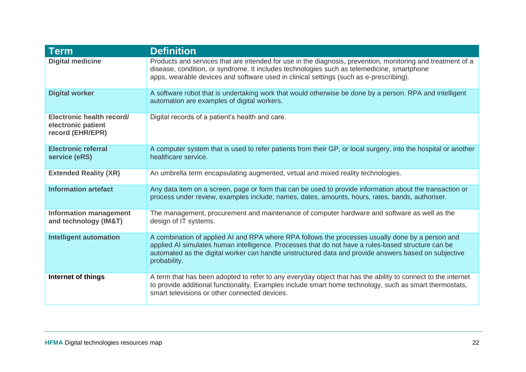| <b>Term</b>                                                         | <b>Definition</b>                                                                                                                                                                                                                                                                                                              |
|---------------------------------------------------------------------|--------------------------------------------------------------------------------------------------------------------------------------------------------------------------------------------------------------------------------------------------------------------------------------------------------------------------------|
| <b>Digital medicine</b>                                             | Products and services that are intended for use in the diagnosis, prevention, monitoring and treatment of a<br>disease, condition, or syndrome. It includes technologies such as telemedicine, smartphone<br>apps, wearable devices and software used in clinical settings (such as e-prescribing).                            |
| <b>Digital worker</b>                                               | A software robot that is undertaking work that would otherwise be done by a person. RPA and intelligent<br>automation are examples of digital workers.                                                                                                                                                                         |
| Electronic health record/<br>electronic patient<br>record (EHR/EPR) | Digital records of a patient's health and care.                                                                                                                                                                                                                                                                                |
| <b>Electronic referral</b><br>service (eRS)                         | A computer system that is used to refer patients from their GP, or local surgery, into the hospital or another<br>healthcare service.                                                                                                                                                                                          |
| <b>Extended Reality (XR)</b>                                        | An umbrella term encapsulating augmented, virtual and mixed reality technologies.                                                                                                                                                                                                                                              |
| <b>Information artefact</b>                                         | Any data item on a screen, page or form that can be used to provide information about the transaction or<br>process under review, examples include, names, dates, amounts, hours, rates, bands, authoriser.                                                                                                                    |
| <b>Information management</b><br>and technology (IM&T)              | The management, procurement and maintenance of computer hardware and software as well as the<br>design of IT systems.                                                                                                                                                                                                          |
| <b>Intelligent automation</b>                                       | A combination of applied AI and RPA where RPA follows the processes usually done by a person and<br>applied AI simulates human intelligence. Processes that do not have a rules-based structure can be<br>automated as the digital worker can handle unstructured data and provide answers based on subjective<br>probability. |
| Internet of things                                                  | A term that has been adopted to refer to any everyday object that has the ability to connect to the internet<br>to provide additional functionality. Examples include smart home technology, such as smart thermostats,<br>smart televisions or other connected devices.                                                       |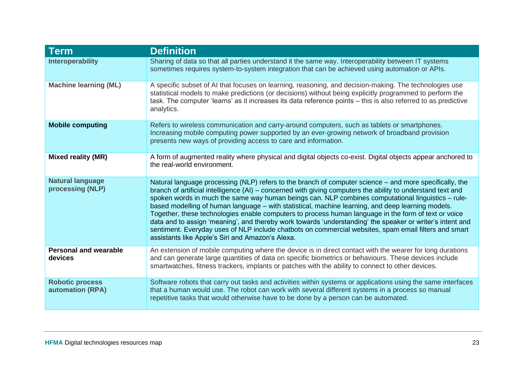| <b>Term</b>                                       | <b>Definition</b>                                                                                                                                                                                                                                                                                                                                                                                                                                                                                                                                                                                                                                                                                                                                                                                                   |
|---------------------------------------------------|---------------------------------------------------------------------------------------------------------------------------------------------------------------------------------------------------------------------------------------------------------------------------------------------------------------------------------------------------------------------------------------------------------------------------------------------------------------------------------------------------------------------------------------------------------------------------------------------------------------------------------------------------------------------------------------------------------------------------------------------------------------------------------------------------------------------|
| <b>Interoperability</b>                           | Sharing of data so that all parties understand it the same way. Interoperability between IT systems<br>sometimes requires system-to-system integration that can be achieved using automation or APIs.                                                                                                                                                                                                                                                                                                                                                                                                                                                                                                                                                                                                               |
| <b>Machine learning (ML)</b>                      | A specific subset of AI that focuses on learning, reasoning, and decision-making. The technologies use<br>statistical models to make predictions (or decisions) without being explicitly programmed to perform the<br>task. The computer 'learns' as it increases its data reference points - this is also referred to as predictive<br>analytics.                                                                                                                                                                                                                                                                                                                                                                                                                                                                  |
| <b>Mobile computing</b>                           | Refers to wireless communication and carry-around computers, such as tablets or smartphones.<br>Increasing mobile computing power supported by an ever-growing network of broadband provision<br>presents new ways of providing access to care and information.                                                                                                                                                                                                                                                                                                                                                                                                                                                                                                                                                     |
| <b>Mixed reality (MR)</b>                         | A form of augmented reality where physical and digital objects co-exist. Digital objects appear anchored to<br>the real-world environment.                                                                                                                                                                                                                                                                                                                                                                                                                                                                                                                                                                                                                                                                          |
| <b>Natural language</b><br>processing (NLP)       | Natural language processing (NLP) refers to the branch of computer science – and more specifically, the<br>branch of artificial intelligence (AI) – concerned with giving computers the ability to understand text and<br>spoken words in much the same way human beings can. NLP combines computational linguistics - rule-<br>based modelling of human language – with statistical, machine learning, and deep learning models.<br>Together, these technologies enable computers to process human language in the form of text or voice<br>data and to assign 'meaning', and thereby work towards 'understanding' the speaker or writer's intent and<br>sentiment. Everyday uses of NLP include chatbots on commercial websites, spam email filters and smart<br>assistants like Apple's Siri and Amazon's Alexa. |
| <b>Personal and wearable</b><br>devices           | An extension of mobile computing where the device is in direct contact with the wearer for long durations<br>and can generate large quantities of data on specific biometrics or behaviours. These devices include<br>smartwatches, fitness trackers, implants or patches with the ability to connect to other devices.                                                                                                                                                                                                                                                                                                                                                                                                                                                                                             |
| <b>Robotic process</b><br><b>automation (RPA)</b> | Software robots that carry out tasks and activities within systems or applications using the same interfaces<br>that a human would use. The robot can work with several different systems in a process so manual<br>repetitive tasks that would otherwise have to be done by a person can be automated.                                                                                                                                                                                                                                                                                                                                                                                                                                                                                                             |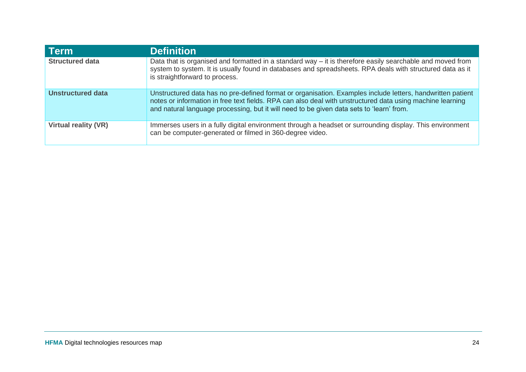| ∣ Term                      | <b>Definition</b>                                                                                                                                                                                                                                                                                                   |
|-----------------------------|---------------------------------------------------------------------------------------------------------------------------------------------------------------------------------------------------------------------------------------------------------------------------------------------------------------------|
| <b>Structured data</b>      | Data that is organised and formatted in a standard way $-$ it is therefore easily searchable and moved from<br>system to system. It is usually found in databases and spreadsheets. RPA deals with structured data as it<br>is straightforward to process.                                                          |
| <b>Unstructured data</b>    | Unstructured data has no pre-defined format or organisation. Examples include letters, handwritten patient<br>notes or information in free text fields. RPA can also deal with unstructured data using machine learning<br>and natural language processing, but it will need to be given data sets to 'learn' from. |
| <b>Virtual reality (VR)</b> | Immerses users in a fully digital environment through a headset or surrounding display. This environment<br>can be computer-generated or filmed in 360-degree video.                                                                                                                                                |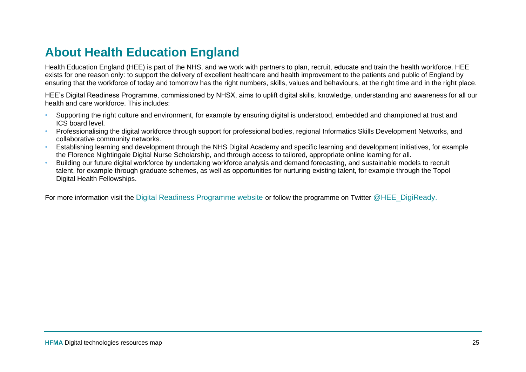### <span id="page-24-0"></span>**About Health Education England**

Health Education England (HEE) is part of the NHS, and we work with partners to plan, recruit, educate and train the health workforce. HEE exists for one reason only: to support the delivery of excellent healthcare and health improvement to the patients and public of England by ensuring that the workforce of today and tomorrow has the right numbers, skills, values and behaviours, at the right time and in the right place.

HEE's Digital Readiness Programme, commissioned by NHSX, aims to uplift digital skills, knowledge, understanding and awareness for all our health and care workforce. This includes:

- Supporting the right culture and environment, for example by ensuring digital is understood, embedded and championed at trust and ICS board level.
- Professionalising the digital workforce through support for professional bodies, regional Informatics Skills Development Networks, and collaborative community networks.
- Establishing learning and development through the NHS Digital Academy and specific learning and development initiatives, for example the Florence Nightingale Digital Nurse Scholarship, and through access to tailored, appropriate online learning for all.
- Building our future digital workforce by undertaking workforce analysis and demand forecasting, and sustainable models to recruit talent, for example through graduate schemes, as well as opportunities for nurturing existing talent, for example through the Topol Digital Health Fellowships.

For more information visit the [Digital Readiness Programme website](https://www.hee.nhs.uk/our-work/digital-readiness) or follow the programme on Twitter [@HEE\\_DigiReady.](https://twitter.com/HEE_DigiReady)